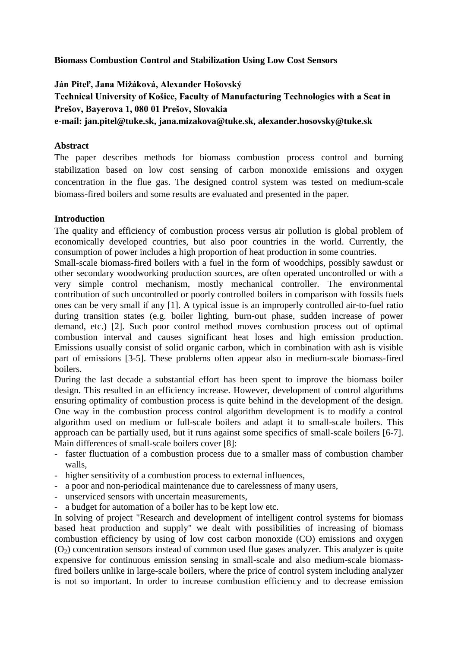# **Biomass Combustion Control and Stabilization Using Low Cost Sensors**

**Ján Piteľ, Jana Mižáková, Alexander Hošovský Technical University of Košice, Faculty of Manufacturing Technologies with a Seat in Prešov, Bayerova 1, 080 01 Prešov, Slovakia**

**e-mail: jan.pitel@tuke.sk, jana.mizakova@tuke.sk, alexander.hosovsky@tuke.sk**

## **Abstract**

The paper describes methods for biomass combustion process control and burning stabilization based on low cost sensing of carbon monoxide emissions and oxygen concentration in the flue gas. The designed control system was tested on medium-scale biomass-fired boilers and some results are evaluated and presented in the paper.

## **Introduction**

The quality and efficiency of combustion process versus air pollution is global problem of economically developed countries, but also poor countries in the world. Currently, the consumption of power includes a high proportion of heat production in some countries.

Small-scale biomass-fired boilers with a fuel in the form of woodchips, possibly sawdust or other secondary woodworking production sources, are often operated uncontrolled or with a very simple control mechanism, mostly mechanical controller. The environmental contribution of such uncontrolled or poorly controlled boilers in comparison with fossils fuels ones can be very small if any [1]. A typical issue is an improperly controlled air-to-fuel ratio during transition states (e.g. boiler lighting, burn-out phase, sudden increase of power demand, etc.) [2]. Such poor control method moves combustion process out of optimal combustion interval and causes significant heat loses and high emission production. Emissions usually consist of solid organic carbon, which in combination with ash is visible part of emissions [3-5]. These problems often appear also in medium-scale biomass-fired boilers.

During the last decade a substantial effort has been spent to improve the biomass boiler design. This resulted in an efficiency increase. However, development of control algorithms ensuring optimality of combustion process is quite behind in the development of the design. One way in the combustion process control algorithm development is to modify a control algorithm used on medium or full-scale boilers and adapt it to small-scale boilers. This approach can be partially used, but it runs against some specifics of small-scale boilers [6-7]. Main differences of small-scale boilers cover [8]:

- faster fluctuation of a combustion process due to a smaller mass of combustion chamber walls,
- higher sensitivity of a combustion process to external influences,
- a poor and non-periodical maintenance due to carelessness of many users,
- unserviced sensors with uncertain measurements,
- a budget for automation of a boiler has to be kept low etc.

In solving of project "Research and development of intelligent control systems for biomass based heat production and supply" we dealt with possibilities of increasing of biomass combustion efficiency by using of low cost carbon monoxide (CO) emissions and oxygen  $(O<sub>2</sub>)$  concentration sensors instead of common used flue gases analyzer. This analyzer is quite expensive for continuous emission sensing in small-scale and also medium-scale biomassfired boilers unlike in large-scale boilers, where the price of control system including analyzer is not so important. In order to increase combustion efficiency and to decrease emission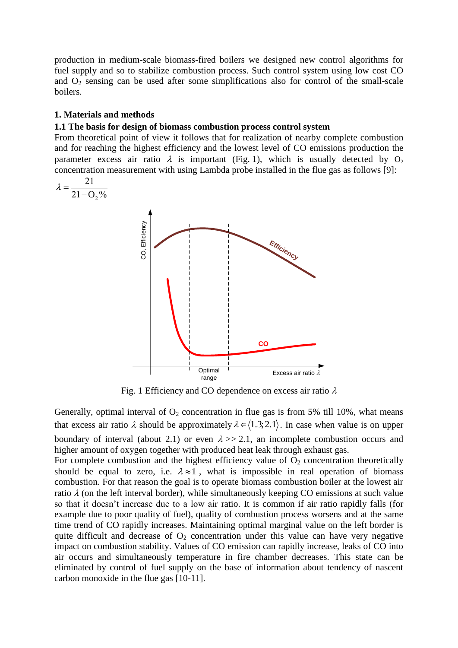production in medium-scale biomass-fired boilers we designed new control algorithms for fuel supply and so to stabilize combustion process. Such control system using low cost CO and  $O<sub>2</sub>$  sensing can be used after some simplifications also for control of the small-scale boilers.

### **1. Materials and methods**

#### **1.1 The basis for design of biomass combustion process control system**

From theoretical point of view it follows that for realization of nearby complete combustion and for reaching the highest efficiency and the lowest level of CO emissions production the parameter excess air ratio  $\lambda$  is important (Fig. 1), which is usually detected by  $O_2$ concentration measurement with using Lambda probe installed in the flue gas as follows [9]:



Fig. 1 Efficiency and CO dependence on excess air ratio  $\lambda$ 

Generally, optimal interval of  $O_2$  concentration in flue gas is from 5% till 10%, what means that excess air ratio  $\lambda$  should be approximately  $\lambda \in \langle 1.3; 2.1 \rangle$ . In case when value is on upper boundary of interval (about 2.1) or even  $\lambda \gg 2.1$ , an incomplete combustion occurs and higher amount of oxygen together with produced heat leak through exhaust gas.

For complete combustion and the highest efficiency value of  $O<sub>2</sub>$  concentration theoretically should be equal to zero, i.e.  $\lambda \approx 1$ , what is impossible in real operation of biomass combustion. For that reason the goal is to operate biomass combustion boiler at the lowest air ratio  $\lambda$  (on the left interval border), while simultaneously keeping CO emissions at such value so that it doesn't increase due to a low air ratio. It is common if air ratio rapidly falls (for example due to poor quality of fuel), quality of combustion process worsens and at the same time trend of CO rapidly increases. Maintaining optimal marginal value on the left border is quite difficult and decrease of  $O_2$  concentration under this value can have very negative impact on combustion stability. Values of CO emission can rapidly increase, leaks of CO into air occurs and simultaneously temperature in fire chamber decreases. This state can be eliminated by control of fuel supply on the base of information about tendency of nascent carbon monoxide in the flue gas [10-11].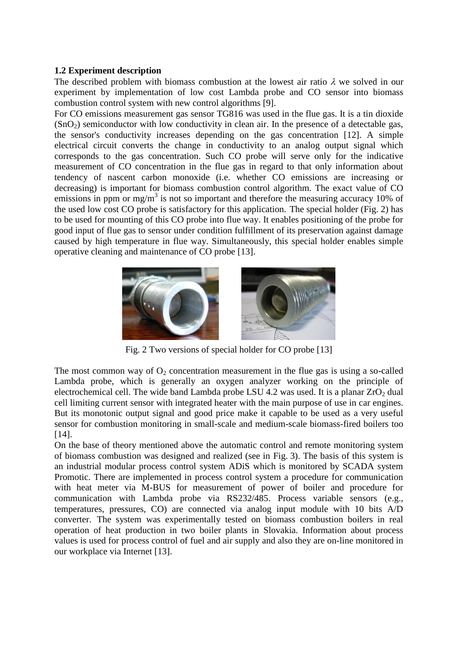## **1.2 Experiment description**

The described problem with biomass combustion at the lowest air ratio  $\lambda$  we solved in our experiment by implementation of low cost Lambda probe and CO sensor into biomass combustion control system with new control algorithms [9].

For CO emissions measurement gas sensor TG816 was used in the flue gas. It is a tin dioxide  $(SnO<sub>2</sub>)$  semiconductor with low conductivity in clean air. In the presence of a detectable gas, the sensor's conductivity increases depending on the gas concentration [12]. A simple electrical circuit converts the change in conductivity to an analog output signal which corresponds to the gas concentration. Such CO probe will serve only for the indicative measurement of CO concentration in the flue gas in regard to that only information about tendency of nascent carbon monoxide (i.e. whether CO emissions are increasing or decreasing) is important for biomass combustion control algorithm. The exact value of CO emissions in ppm or mg/m<sup>3</sup> is not so important and therefore the measuring accuracy 10% of the used low cost CO probe is satisfactory for this application. The special holder (Fig. 2) has to be used for mounting of this CO probe into flue way. It enables positioning of the probe for good input of flue gas to sensor under condition fulfillment of its preservation against damage caused by high temperature in flue way. Simultaneously, this special holder enables simple operative cleaning and maintenance of CO probe [13].



Fig. 2 Two versions of special holder for CO probe [13]

The most common way of  $O_2$  concentration measurement in the flue gas is using a so-called Lambda probe, which is generally an oxygen analyzer working on the principle of electrochemical cell. The wide band Lambda probe LSU 4.2 was used. It is a planar  $ZrO<sub>2</sub>$  dual cell limiting current sensor with integrated heater with the main purpose of use in car engines. But its monotonic output signal and good price make it capable to be used as a very useful sensor for combustion monitoring in small-scale and medium-scale biomass-fired boilers too [14].

On the base of theory mentioned above the automatic control and remote monitoring system of biomass combustion was designed and realized (see in Fig. 3). The basis of this system is an industrial modular process control system ADiS which is monitored by SCADA system Promotic. There are implemented in process control system a procedure for communication with heat meter via M-BUS for measurement of power of boiler and procedure for communication with Lambda probe via RS232/485. Process variable sensors (e.g., temperatures, pressures, CO) are connected via analog input module with 10 bits A/D converter. The system was experimentally tested on biomass combustion boilers in real operation of heat production in two boiler plants in Slovakia. Information about process values is used for process control of fuel and air supply and also they are on-line monitored in our workplace via Internet [13].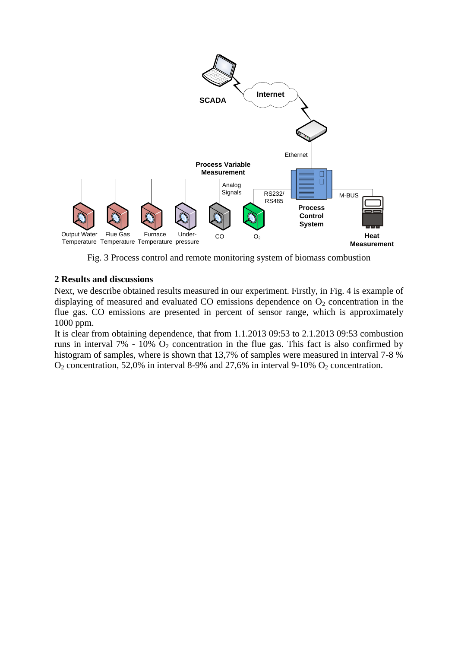

Fig. 3 Process control and remote monitoring system of biomass combustion

# **2 Results and discussions**

Next, we describe obtained results measured in our experiment. Firstly, in Fig. 4 is example of displaying of measured and evaluated CO emissions dependence on  $O<sub>2</sub>$  concentration in the flue gas. CO emissions are presented in percent of sensor range, which is approximately 1000 ppm.

It is clear from obtaining dependence, that from 1.1.2013 09:53 to 2.1.2013 09:53 combustion runs in interval 7% - 10%  $O_2$  concentration in the flue gas. This fact is also confirmed by histogram of samples, where is shown that 13,7% of samples were measured in interval 7-8 %  $O_2$  concentration, 52,0% in interval 8-9% and 27,6% in interval 9-10%  $O_2$  concentration.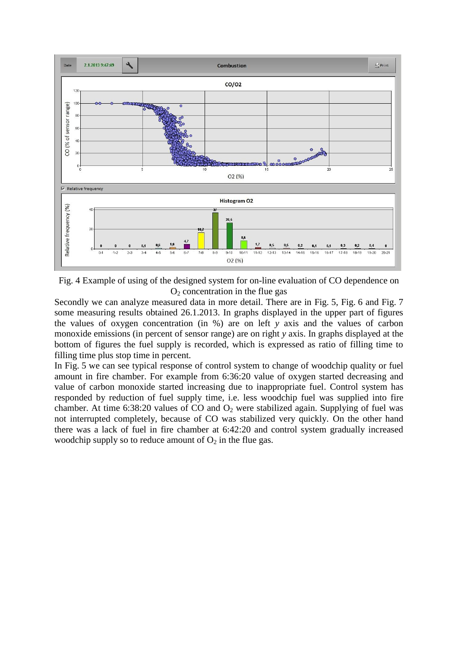

Fig. 4 Example of using of the designed system for on-line evaluation of CO dependence on  $O<sub>2</sub>$  concentration in the flue gas

Secondly we can analyze measured data in more detail. There are in Fig. 5, Fig. 6 and Fig. 7 some measuring results obtained 26.1.2013. In graphs displayed in the upper part of figures the values of oxygen concentration (in %) are on left *y* axis and the values of carbon monoxide emissions (in percent of sensor range) are on right *y* axis. In graphs displayed at the bottom of figures the fuel supply is recorded, which is expressed as ratio of filling time to filling time plus stop time in percent.

In Fig. 5 we can see typical response of control system to change of woodchip quality or fuel amount in fire chamber. For example from 6:36:20 value of oxygen started decreasing and value of carbon monoxide started increasing due to inappropriate fuel. Control system has responded by reduction of fuel supply time, i.e. less woodchip fuel was supplied into fire chamber. At time  $6:38:20$  values of CO and  $O<sub>2</sub>$  were stabilized again. Supplying of fuel was not interrupted completely, because of CO was stabilized very quickly. On the other hand there was a lack of fuel in fire chamber at 6:42:20 and control system gradually increased woodchip supply so to reduce amount of  $O_2$  in the flue gas.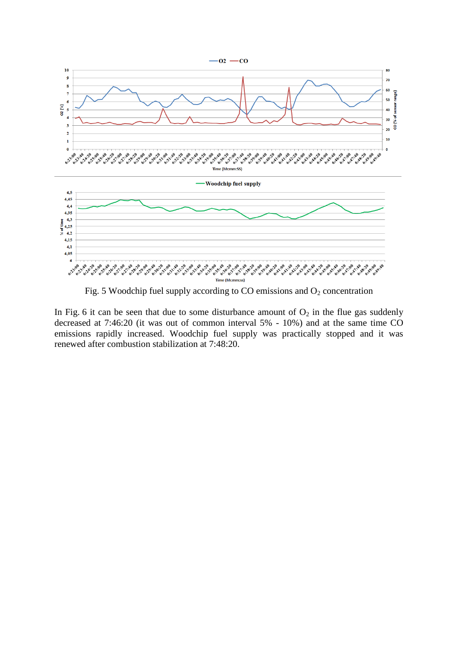

Fig. 5 Woodchip fuel supply according to CO emissions and  $O_2$  concentration

In Fig. 6 it can be seen that due to some disturbance amount of  $O_2$  in the flue gas suddenly decreased at 7:46:20 (it was out of common interval 5% - 10%) and at the same time CO emissions rapidly increased. Woodchip fuel supply was practically stopped and it was renewed after combustion stabilization at 7:48:20.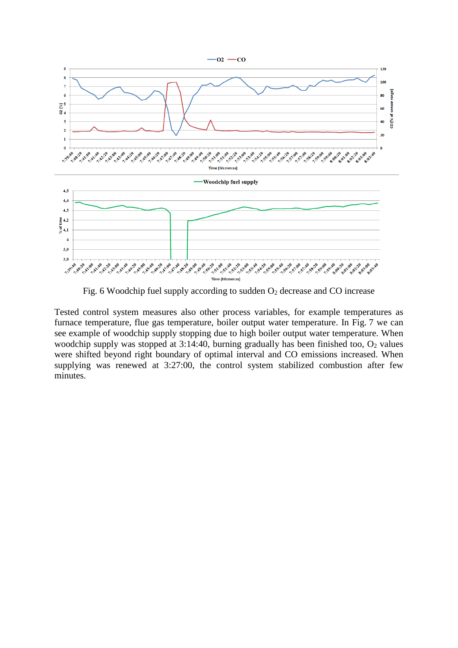

Fig. 6 Woodchip fuel supply according to sudden  $O_2$  decrease and CO increase

Tested control system measures also other process variables, for example temperatures as furnace temperature, flue gas temperature, boiler output water temperature. In Fig. 7 we can see example of woodchip supply stopping due to high boiler output water temperature. When woodchip supply was stopped at  $3:14:40$ , burning gradually has been finished too,  $O_2$  values were shifted beyond right boundary of optimal interval and CO emissions increased. When supplying was renewed at 3:27:00, the control system stabilized combustion after few minutes.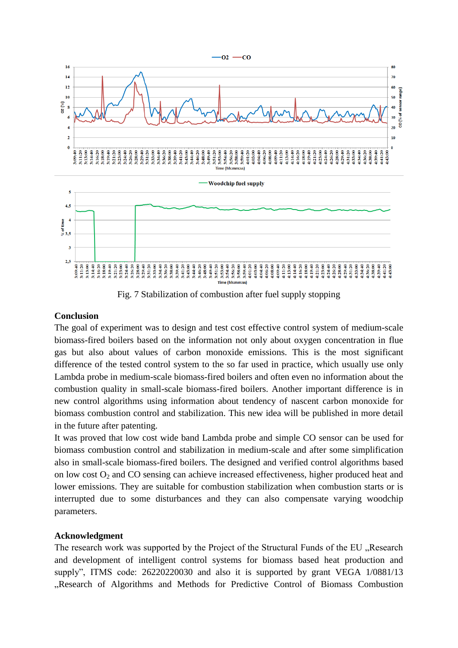

Fig. 7 Stabilization of combustion after fuel supply stopping

# **Conclusion**

The goal of experiment was to design and test cost effective control system of medium-scale biomass-fired boilers based on the information not only about oxygen concentration in flue gas but also about values of carbon monoxide emissions. This is the most significant difference of the tested control system to the so far used in practice, which usually use only Lambda probe in medium-scale biomass-fired boilers and often even no information about the combustion quality in small-scale biomass-fired boilers. Another important difference is in new control algorithms using information about tendency of nascent carbon monoxide for biomass combustion control and stabilization. This new idea will be published in more detail in the future after patenting.

It was proved that low cost wide band Lambda probe and simple CO sensor can be used for biomass combustion control and stabilization in medium-scale and after some simplification also in small-scale biomass-fired boilers. The designed and verified control algorithms based on low cost  $O_2$  and CO sensing can achieve increased effectiveness, higher produced heat and lower emissions. They are suitable for combustion stabilization when combustion starts or is interrupted due to some disturbances and they can also compensate varying woodchip parameters.

# **Acknowledgment**

The research work was supported by the Project of the Structural Funds of the EU . Research and development of intelligent control systems for biomass based heat production and supply", ITMS code: 26220220030 and also it is supported by grant VEGA 1/0881/13 "Research of Algorithms and Methods for Predictive Control of Biomass Combustion